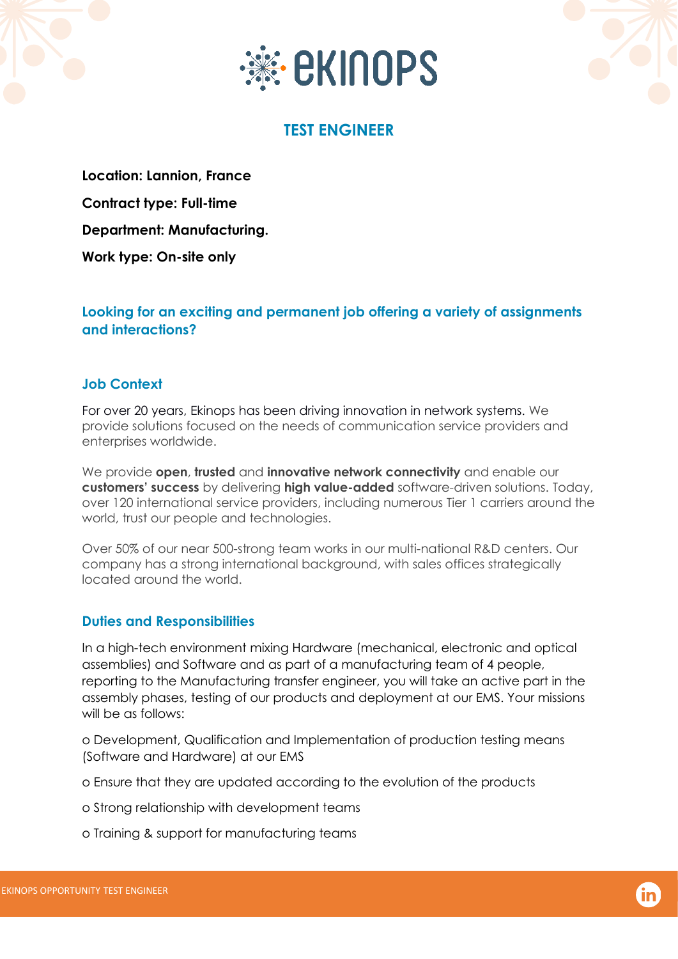



# **TEST ENGINEER**

**Location: Lannion, France Contract type: Full-time Department: Manufacturing. Work type: On-site only** 

**Looking for an exciting and permanent job offering a variety of assignments and interactions?** 

#### **Job Context**

For over 20 years, Ekinops has been driving innovation in network systems. We provide solutions focused on the needs of communication service providers and enterprises worldwide.

We provide **open**, **trusted** and **innovative network connectivity** and enable our **customers' success** by delivering **high value-added** software-driven solutions. Today, over 120 international service providers, including numerous Tier 1 carriers around the world, trust our people and technologies.

Over 50% of our near 500-strong team works in our multi-national R&D centers. Our company has a strong international background, with sales offices strategically located around the world.

## **Duties and Responsibilities**

In a high-tech environment mixing Hardware (mechanical, electronic and optical assemblies) and Software and as part of a manufacturing team of 4 people, reporting to the Manufacturing transfer engineer, you will take an active part in the assembly phases, testing of our products and deployment at our EMS. Your missions will be as follows:

o Development, Qualification and Implementation of production testing means (Software and Hardware) at our EMS

o Ensure that they are updated according to the evolution of the products

o Strong relationship with development teams

o Training & support for manufacturing teams